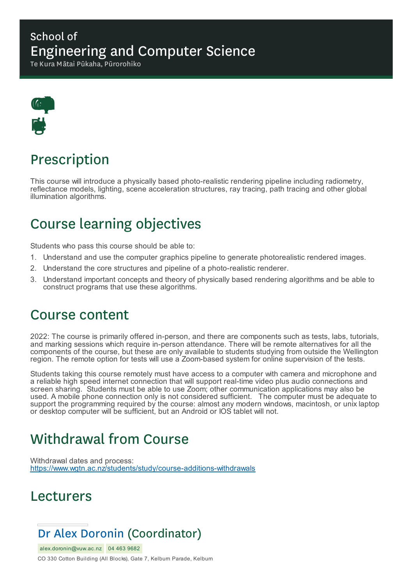### School of Engineering and Computer Science

Te Kura Mātai Pūkaha, Pūrorohiko



# Prescription

This course will introduce a physically based photo-realistic rendering pipeline including radiometry, reflectance models, lighting, scene acceleration structures, ray tracing, path tracing and other global illumination algorithms.

## Course learning objectives

Students who pass this course should be able to:

- 1. Understand and use the computer graphics pipeline to generate photorealistic rendered images.
- 2. Understand the core structures and pipeline of a photo-realistic renderer.
- 3. Understand important concepts and theory of physically based rendering algorithms and be able to construct programs that use these algorithms.

### Course content

2022: The course is primarily offered in-person, and there are components such as tests, labs, tutorials, and marking sessions which require in-person attendance. There will be remote alternatives for all the components of the course, but these are only available to students studying from outside the Wellington region. The remote option for tests will use a Zoom-based system for online supervision of the tests.

Students taking this course remotely must have access to a computer with camera and microphone and a reliable high speed internet connection that will support real-time video plus audio connections and screen sharing. Students must be able to use Zoom; other communication applications may also be used. A mobile phone connection only is not considered sufficient. The computer must be adequate to support the programming required by the course: almost any modern windows, macintosh, or unix laptop or desktop computer will be sufficient, but an Android or IOS tablet will not.

# Withdrawal from Course

Withdrawal dates and process: https://www.wgtn.ac.nz/students/study/course-additions-withdrawals

### Lecturers

### Dr Alex Doronin (Coordinator)

alex.doronin@vuw.ac.nz 04 463 9682 CO 330 Cotton Building (All Blocks), Gate 7, Kelburn Parade, Kelburn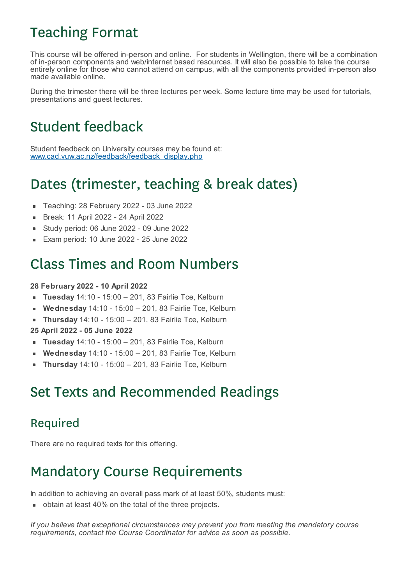# Teaching Format

This course will be offered in-person and online. For students in Wellington, there will be a combination of in-person components and web/internet based resources. It will also be possible to take the course entirely online for those who cannot attend on campus, with all the components provided in-person also made available online.

During the trimester there will be three lectures per week. Some lecture time may be used for tutorials, presentations and guest lectures.

# Student feedback

Student feedback on University courses may be found at: www.cad.vuw.ac.nz/feedback/feedback\_display.php

# Dates (trimester, teaching & break dates)

- Teaching: 28 February 2022 03 June 2022
- Break: 11 April 2022 24 April 2022  $\blacksquare$
- Study period: 06 June 2022 09 June 2022
- Exam period: 10 June 2022 25 June 2022

### Class Times and Room Numbers

#### **28 February 2022 - 10 April 2022**

- **Tuesday** 14:10 15:00 201, 83 Fairlie Tce, Kelburn  $\blacksquare$
- **Wednesday** 14:10 15:00 201, 83 Fairlie Tce, Kelburn
- **Thursday** 14:10 15:00 201, 83 Fairlie Tce, Kelburn  $\blacksquare$

**25 April 2022 - 05 June 2022**

- **Tuesday** 14:10 15:00 201, 83 Fairlie Tce, Kelburn
- **Wednesday** 14:10 15:00 201, 83 Fairlie Tce, Kelburn
- **Thursday** 14:10 15:00 201, 83 Fairlie Tce, Kelburn

### Set Texts and Recommended Readings

### Required

There are no required texts for this offering.

## Mandatory Course Requirements

In addition to achieving an overall pass mark of at least 50%, students must:

obtain at least 40% on the total of the three projects.

*If you believe that exceptional circumstances may prevent you from meeting the mandatory course requirements, contact the Course Coordinator for advice as soon as possible.*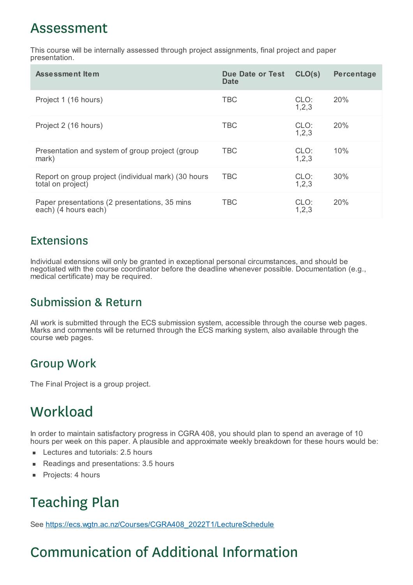### Assessment

This course will be internally assessed through project assignments, final project and paper presentation.

| <b>Assessment Item</b>                                                   | <b>Due Date or Test</b><br><b>Date</b> | CLO(s)          | Percentage |
|--------------------------------------------------------------------------|----------------------------------------|-----------------|------------|
| Project 1 (16 hours)                                                     | <b>TBC</b>                             | CLO:<br>1, 2, 3 | 20%        |
| Project 2 (16 hours)                                                     | <b>TBC</b>                             | CLO:<br>1, 2, 3 | 20%        |
| Presentation and system of group project (group<br>mark)                 | <b>TBC</b>                             | CLO:<br>1, 2, 3 | 10%        |
| Report on group project (individual mark) (30 hours<br>total on project) | <b>TBC</b>                             | CLO:<br>1, 2, 3 | 30%        |
| Paper presentations (2 presentations, 35 mins<br>each) (4 hours each)    | <b>TBC</b>                             | CLO:<br>1, 2, 3 | <b>20%</b> |

#### **Extensions**

Individual extensions will only be granted in exceptional personal circumstances, and should be negotiated with the course coordinator before the deadline whenever possible. Documentation (e.g., medical certificate) may be required.

### Submission & Return

All work is submitted through the ECS submission system, accessible through the course web pages. Marks and comments will be returned through the ECS marking system, also available through the course web pages.

### Group Work

The Final Project is a group project.

## **Workload**

In order to maintain satisfactory progress in CGRA 408, you should plan to spend an average of 10 hours per week on this paper. A plausible and approximate weekly breakdown for these hours would be:

- Lectures and tutorials: 2.5 hours
- Readings and presentations: 3.5 hours  $\blacksquare$
- $\blacksquare$ Projects: 4 hours

# Teaching Plan

See https://ecs.wgtn.ac.nz/Courses/CGRA408\_2022T1/LectureSchedule

# Communication of Additional Information